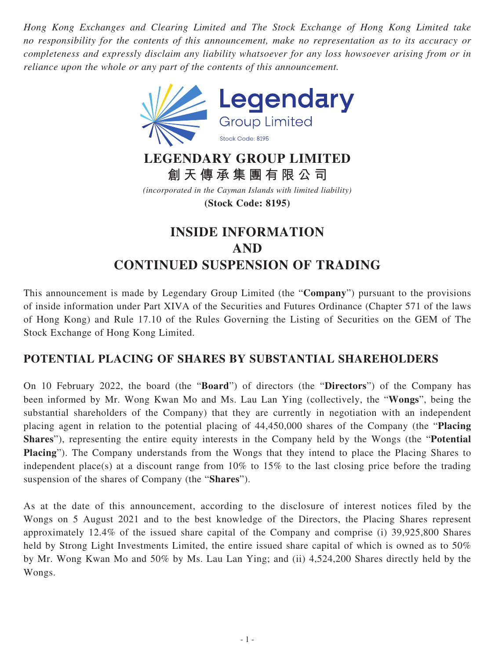*Hong Kong Exchanges and Clearing Limited and The Stock Exchange of Hong Kong Limited take no responsibility for the contents of this announcement, make no representation as to its accuracy or completeness and expressly disclaim any liability whatsoever for any loss howsoever arising from or in reliance upon the whole or any part of the contents of this announcement.*



## **LEGENDARY GROUP LIMITED 創天傳承集團有限公司**

*(incorporated in the Cayman Islands with limited liability)* **(Stock Code: 8195)**

## **INSIDE INFORMATION AND CONTINUED SUSPENSION OF TRADING**

This announcement is made by Legendary Group Limited (the "**Company**") pursuant to the provisions of inside information under Part XIVA of the Securities and Futures Ordinance (Chapter 571 of the laws of Hong Kong) and Rule 17.10 of the Rules Governing the Listing of Securities on the GEM of The Stock Exchange of Hong Kong Limited.

## **POTENTIAL PLACING OF SHARES BY SUBSTANTIAL SHAREHOLDERS**

On 10 February 2022, the board (the "**Board**") of directors (the "**Directors**") of the Company has been informed by Mr. Wong Kwan Mo and Ms. Lau Lan Ying (collectively, the "**Wongs**", being the substantial shareholders of the Company) that they are currently in negotiation with an independent placing agent in relation to the potential placing of 44,450,000 shares of the Company (the "**Placing Shares**"), representing the entire equity interests in the Company held by the Wongs (the "**Potential Placing**"). The Company understands from the Wongs that they intend to place the Placing Shares to independent place(s) at a discount range from 10% to 15% to the last closing price before the trading suspension of the shares of Company (the "**Shares**").

As at the date of this announcement, according to the disclosure of interest notices filed by the Wongs on 5 August 2021 and to the best knowledge of the Directors, the Placing Shares represent approximately 12.4% of the issued share capital of the Company and comprise (i) 39,925,800 Shares held by Strong Light Investments Limited, the entire issued share capital of which is owned as to 50% by Mr. Wong Kwan Mo and 50% by Ms. Lau Lan Ying; and (ii) 4,524,200 Shares directly held by the Wongs.